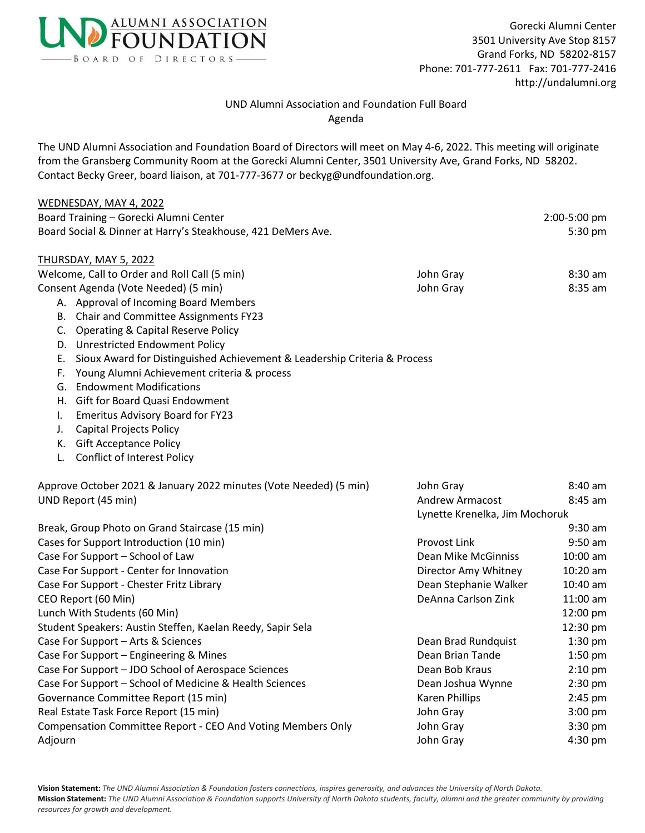

## UND Alumni Association and Foundation Full Board Agenda

The UND Alumni Association and Foundation Board of Directors will meet on May 4-6, 2022. This meeting will originate from the Gransberg Community Room at the Gorecki Alumni Center, 3501 University Ave, Grand Forks, ND 58202. Contact Becky Greer, board liaison, at 701-777-3677 or beckyg@undfoundation.org.

## WEDNESDAY, MAY 4, 2022 Board Training – Gorecki Alumni Center 2:00-5:00 pm Board Social & Dinner at Harry's Steakhouse, 421 DeMers Ave. 5:30 pm THURSDAY, MAY 5, 2022 Welcome, Call to Order and Roll Call (5 min) Melcome, Call to Order and Roll Call (5 min) And American St. 30 am Consent Agenda (Vote Needed) (5 min) John Gray 8:35 am A. Approval of Incoming Board Members B. Chair and Committee Assignments FY23 C. Operating & Capital Reserve Policy D. Unrestricted Endowment Policy E. Sioux Award for Distinguished Achievement & Leadership Criteria & Process F. Young Alumni Achievement criteria & process G. Endowment Modifications H. Gift for Board Quasi Endowment I. Emeritus Advisory Board for FY23 J. Capital Projects Policy K. Gift Acceptance Policy L. Conflict of Interest Policy Approve October 2021 & January 2022 minutes (Vote Needed) (5 min) John Gray 3:40 am UND Report (45 min) and 1990 and 1990 and 1990 and 1990 and 1990 and 1990 and 1990 and 1990 and 1990 and 1990 and 1990 and 1990 and 1990 and 1990 and 1990 and 1990 and 1990 and 1990 and 1990 and 1990 and 1990 and 1990 and Lynette Krenelka, Jim Mochoruk Break, Group Photo on Grand Staircase (15 min) 9:30 am Cases for Support Introduction (10 min) example and the Provost Link 9:50 am example and 9:50 am Case For Support – School of Law Dean Mike McGinniss and 10:00 am Case For Support - Center for Innovation Director Amy Whitney 10:20 am Case For Support - Chester Fritz Library **Dean Stephanie Walker** and 10:40 am CEO Report (60 Min) **Dean amount CEO Report (60 Min)** Dean amount DeAnna Carlson Zink 11:00 am Lunch With Students (60 Min) 12:00 pm

Student Speakers: Austin Steffen, Kaelan Reedy, Sapir Sela 12:30 pm Case For Support – Arts & Sciences Dean Brad Rundquist 2:30 pm Case For Support – Engineering & Mines Dean Brian Tande 2:50 pm Case For Support – JDO School of Aerospace Sciences Case Dean Bob Kraus 2:10 pm Case For Support – School of Medicine & Health Sciences Dean Joshua Wynne 2:30 pm Governance Committee Report (15 min) and the common control of the Karen Phillips 2:45 pm Real Estate Task Force Report (15 min) and the state of the state of the state of the state of the state of the state of the state of the state of the state of the state of the state of the state of the state of the state Compensation Committee Report - CEO And Voting Members Only Solom Gray 3:30 pm Adjourn John Gray 4:30 pm